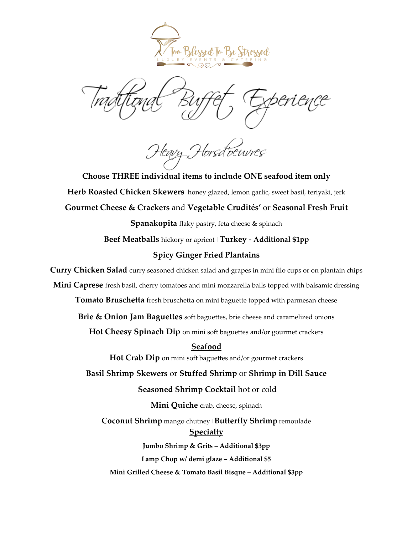

<sup>1</sup>orsd<sup>7</sup>ocuvres

**Choose THREE individual items to include ONE seafood item only Herb Roasted Chicken Skewers** honey glazed, lemon garlic, sweet basil, teriyaki, jerk **Gourmet Cheese & Crackers** and **Vegetable Crudités'** or **Seasonal Fresh Fruit**

**Spanakopita** flaky pastry, feta cheese & spinach

**Beef Meatballs** hickory or apricot |**Turkey** - **Additional \$1pp**

# **Spicy Ginger Fried Plantains**

**Curry Chicken Salad** curry seasoned chicken salad and grapes in mini filo cups or on plantain chips

**Mini Caprese** fresh basil, cherry tomatoes and mini mozzarella balls topped with balsamic dressing

**Tomato Bruschetta** fresh bruschetta on mini baguette topped with parmesan cheese

**Brie & Onion Jam Baguettes** soft baguettes, brie cheese and caramelized onions

**Hot Cheesy Spinach Dip** on mini soft baguettes and/or gourmet crackers

**Seafood Hot Crab Dip** on mini soft baguettes and/or gourmet crackers **Basil Shrimp Skewers** or **Stuffed Shrimp** or **Shrimp in Dill Sauce Seasoned Shrimp Cocktail** hot or cold **Mini Quiche** crab, cheese, spinach

**Coconut Shrimp** mango chutney <sup>|</sup>**Butterfly Shrimp** remoulade **Specialty** 

**Jumbo Shrimp & Grits – Additional \$3pp Lamp Chop w/ demi glaze – Additional \$5 Mini Grilled Cheese & Tomato Basil Bisque – Additional \$3pp**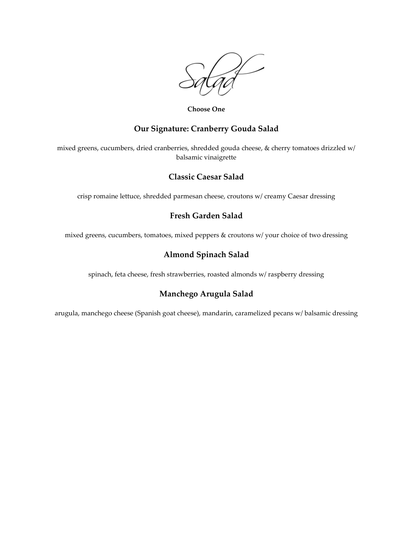

**Choose One**

# **Our Signature: Cranberry Gouda Salad**

mixed greens, cucumbers, dried cranberries, shredded gouda cheese, & cherry tomatoes drizzled w/ balsamic vinaigrette

## **Classic Caesar Salad**

crisp romaine lettuce, shredded parmesan cheese, croutons w/ creamy Caesar dressing

# **Fresh Garden Salad**

mixed greens, cucumbers, tomatoes, mixed peppers & croutons w/ your choice of two dressing

# **Almond Spinach Salad**

spinach, feta cheese, fresh strawberries, roasted almonds w/ raspberry dressing

# **Manchego Arugula Salad**

arugula, manchego cheese (Spanish goat cheese), mandarin, caramelized pecans w/ balsamic dressing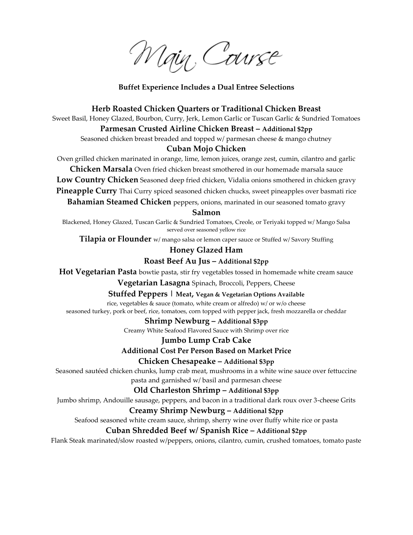Main, Course

#### **Buffet Experience Includes a Dual Entree Selections**

#### **Herb Roasted Chicken Quarters or Traditional Chicken Breast**

Sweet Basil, Honey Glazed, Bourbon, Curry, Jerk, Lemon Garlic or Tuscan Garlic & Sundried Tomatoes

#### **Parmesan Crusted Airline Chicken Breast – Additional \$2pp**

Seasoned chicken breast breaded and topped w/ parmesan cheese & mango chutney

#### **Cuban Mojo Chicken**

Oven grilled chicken marinated in orange, lime, lemon juices, orange zest, cumin, cilantro and garlic

**Chicken Marsala** Oven fried chicken breast smothered in our homemade marsala sauce

**Low Country Chicken** Seasoned deep fried chicken, Vidalia onions smothered in chicken gravy

**Pineapple Curry** Thai Curry spiced seasoned chicken chucks, sweet pineapples over basmati rice

**Bahamian Steamed Chicken** peppers, onions, marinated in our seasoned tomato gravy

## **Salmon**

Blackened, Honey Glazed, Tuscan Garlic & Sundried Tomatoes, Creole, or Teriyaki topped w/ Mango Salsa served over seasoned yellow rice

**Tilapia or Flounder** w/ mango salsa or lemon caper sauce or Stuffed w/ Savory Stuffing

### **Honey Glazed Ham**

### **Roast Beef Au Jus – Additional \$2pp**

**Hot Vegetarian Pasta** bowtie pasta, stir fry vegetables tossed in homemade white cream sauce

**Vegetarian Lasagna** Spinach, Broccoli, Peppers, Cheese

**Stuffed Peppers | Meat, Vegan & Vegetarian Options Available**

rice, vegetables & sauce (tomato, white cream or alfredo) w/ or w/o cheese

seasoned turkey, pork or beef, rice, tomatoes, corn topped with pepper jack, fresh mozzarella or cheddar

#### **Shrimp Newburg – Additional \$3pp**

Creamy White Seafood Flavored Sauce with Shrimp over rice

#### **Jumbo Lump Crab Cake**

**Additional Cost Per Person Based on Market Price**

**Chicken Chesapeake – Additional \$3pp**

Seasoned sautéed chicken chunks, lump crab meat, mushrooms in a white wine sauce over fettuccine pasta and garnished w/ basil and parmesan cheese

**Old Charleston Shrimp – Additional \$3pp**

Jumbo shrimp, Andouille sausage, peppers, and bacon in a traditional dark roux over 3-cheese Grits

# **Creamy Shrimp Newburg – Additional \$2pp**

Seafood seasoned white cream sauce, shrimp, sherry wine over fluffy white rice or pasta

## **Cuban Shredded Beef w/ Spanish Rice – Additional \$2pp**

Flank Steak marinated/slow roasted w/peppers, onions, cilantro, cumin, crushed tomatoes, tomato paste